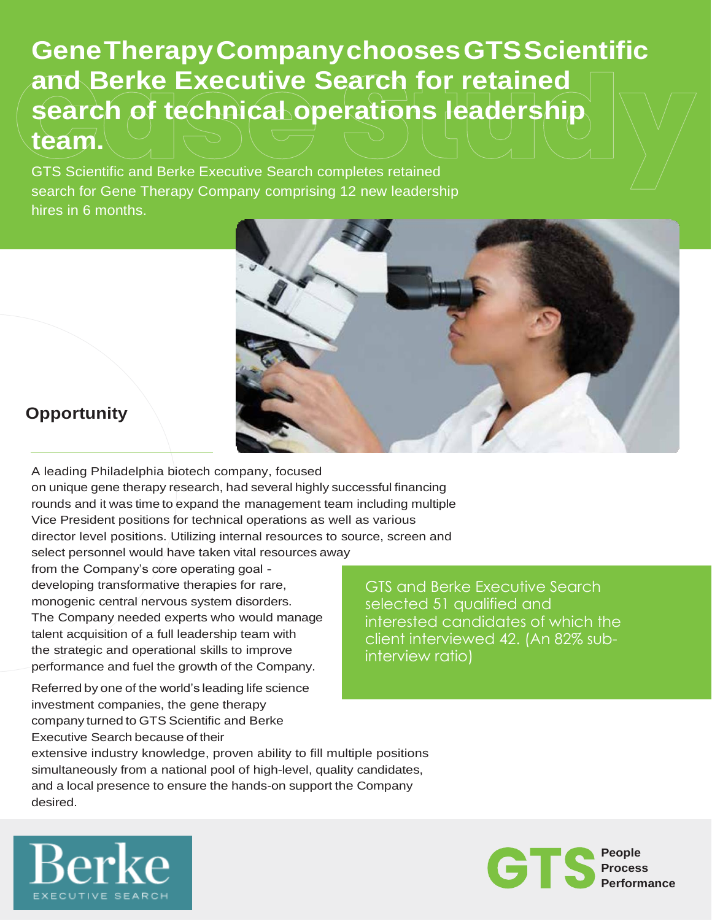**GeneTherapyCompanychoosesGTSScientific and Berke Executive Search for retained search of technical operations leadership team.**

GTS Scientific and Berke Executive Search completes retained search for Gene Therapy Company comprising 12 new leadership hires in 6 months.



## **Opportunity**

A leading Philadelphia biotech company, focused on unique gene therapy research, had several highly successful financing rounds and it was time to expand the management team including multiple Vice President positions for technical operations as well as various director level positions. Utilizing internal resources to source, screen and select personnel would have taken vital resources away

from the Company's core operating goal developing transformative therapies for rare, monogenic central nervous system disorders. The Company needed experts who would manage talent acquisition of a full leadership team with the strategic and operational skills to improve performance and fuel the growth of the Company.

Referred by one of the world's leading life science investment companies, the gene therapy company turned to GTS Scientific and Berke Executive Search because of their

GTS and Berke Executive Search selected 51 qualified and interested candidates of which the client interviewed 42. (An 82% subinterview ratio)

extensive industry knowledge, proven ability to fill multiple positions simultaneously from a national pool of high-level, quality candidates, and a local presence to ensure the hands-on support the Company desired.